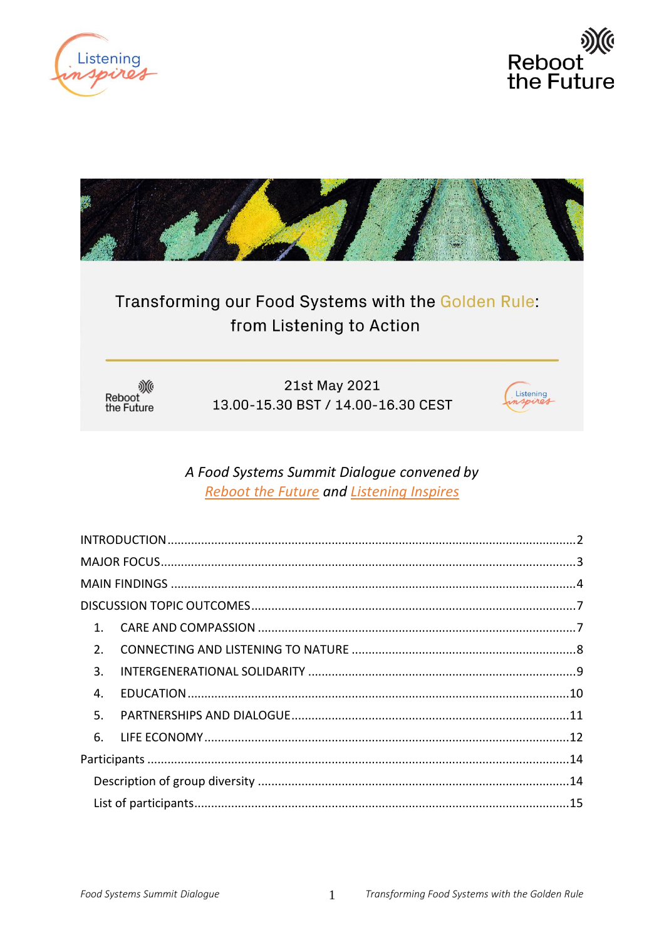





# Transforming our Food Systems with the Golden Rule: from Listening to Action

﴾∭<br>Reboot<br>the Future

21st May 2021 13.00-15.30 BST / 14.00-16.30 CEST



## A Food Systems Summit Dialogue convened by **Reboot the Future and Listening Inspires**

| $\mathbf{1}$ . |  |
|----------------|--|
| 2.             |  |
| 3.             |  |
| 4.             |  |
| 5.             |  |
| 6.             |  |
|                |  |
|                |  |
|                |  |

 $\mathbf{1}$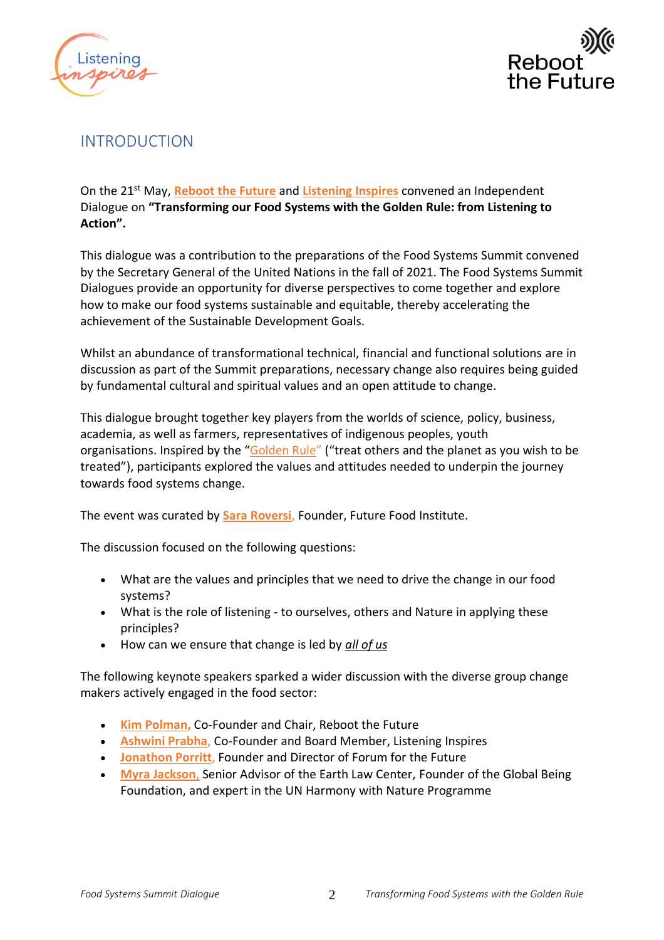



## <span id="page-1-0"></span>INTRODUCTION

On the 21st May, **[Reboot the Future](https://www.rebootthefuture.org/)** and **[Listening Inspires](https://www.listening-inspires.world/)** convened an Independent Dialogue on **"Transforming our Food Systems with the Golden Rule: from Listening to Action".**

This dialogue was a contribution to the preparations of the Food Systems Summit convened by the Secretary General of the United Nations in the fall of 2021. The Food Systems Summit Dialogues provide an opportunity for diverse perspectives to come together and explore how to make our food systems sustainable and equitable, thereby accelerating the achievement of the Sustainable Development Goals.

Whilst an abundance of transformational technical, financial and functional solutions are in discussion as part of the Summit preparations, necessary change also requires being guided by fundamental cultural and spiritual values and an open attitude to change.

This dialogue brought together key players from the worlds of science, policy, business, academia, as well as farmers, representatives of indigenous peoples, youth organisations. Inspired by the "[Golden Rule](https://www.rebootthefuture.org/the-golden-rule)" ("treat others and the planet as you wish to be treated"), participants explored the values and attitudes needed to underpin the journey towards food systems change.

The event was curated by **[Sara Roversi](https://www.linkedin.com/in/sararoversi?originalSubdomain=it)**, Founder, Future Food Institute.

The discussion focused on the following questions:

- What are the values and principles that we need to drive the change in our food systems?
- What is the role of listening to ourselves, others and Nature in applying these principles?
- How can we ensure that change is led by *all of us*

The following keynote speakers sparked a wider discussion with the diverse group change makers actively engaged in the food sector:

- **[Kim Polman,](https://www.rebootthefuture.org/our-people)** Co-Founder and Chair, Reboot the Future
- **[Ashwini Prabha](http://listeningtotheearth.world/people/ashwini-prabha-leopold/)**, Co-Founder and Board Member, Listening Inspires
- **[Jonathon Porritt](https://www.forumforthefuture.org/jonathon-porritt)**, Founder and Director of Forum for the Future
- **[Myra Jackson](http://www.harmonywithnatureun.org/profile/rLuxMMfyOn+sYR52cLQP5B8mf4WEdoaMu08j+M7sWcd7ZrEwPMKCejH9aoTnW638rBjovX5EtNh!Czh3cSYSNw==)**, Senior Advisor of the Earth Law Center, Founder of the Global Being Foundation, and expert in the UN Harmony with Nature Programme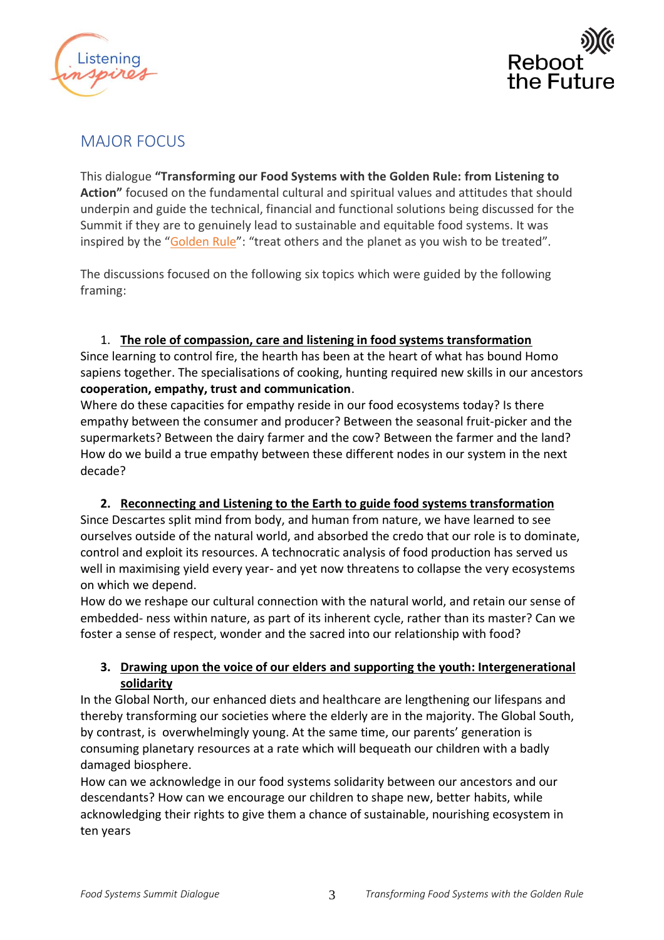



## <span id="page-2-0"></span>MAJOR FOCUS

This dialogue **"Transforming our Food Systems with the Golden Rule: from Listening to Action"** focused on the fundamental cultural and spiritual values and attitudes that should underpin and guide the technical, financial and functional solutions being discussed for the Summit if they are to genuinely lead to sustainable and equitable food systems. It was inspired by the "[Golden Rule](https://www.rebootthefuture.org/the-golden-rule)": "treat others and the planet as you wish to be treated".

The discussions focused on the following six topics which were guided by the following framing:

## 1. **The role of compassion, care and listening in food systems transformation**

Since learning to control fire, the hearth has been at the heart of what has bound Homo sapiens together. The specialisations of cooking, hunting required new skills in our ancestors **cooperation, empathy, trust and communication**.

Where do these capacities for empathy reside in our food ecosystems today? Is there empathy between the consumer and producer? Between the seasonal fruit-picker and the supermarkets? Between the dairy farmer and the cow? Between the farmer and the land? How do we build a true empathy between these different nodes in our system in the next decade?

## **2. Reconnecting and Listening to the Earth to guide food systems transformation**

Since Descartes split mind from body, and human from nature, we have learned to see ourselves outside of the natural world, and absorbed the credo that our role is to dominate, control and exploit its resources. A technocratic analysis of food production has served us well in maximising yield every year- and yet now threatens to collapse the very ecosystems on which we depend.

How do we reshape our cultural connection with the natural world, and retain our sense of embedded- ness within nature, as part of its inherent cycle, rather than its master? Can we foster a sense of respect, wonder and the sacred into our relationship with food?

## **3. Drawing upon the voice of our elders and supporting the youth: Intergenerational solidarity**

In the Global North, our enhanced diets and healthcare are lengthening our lifespans and thereby transforming our societies where the elderly are in the majority. The Global South, by contrast, is overwhelmingly young. At the same time, our parents' generation is consuming planetary resources at a rate which will bequeath our children with a badly damaged biosphere.

How can we acknowledge in our food systems solidarity between our ancestors and our descendants? How can we encourage our children to shape new, better habits, while acknowledging their rights to give them a chance of sustainable, nourishing ecosystem in ten years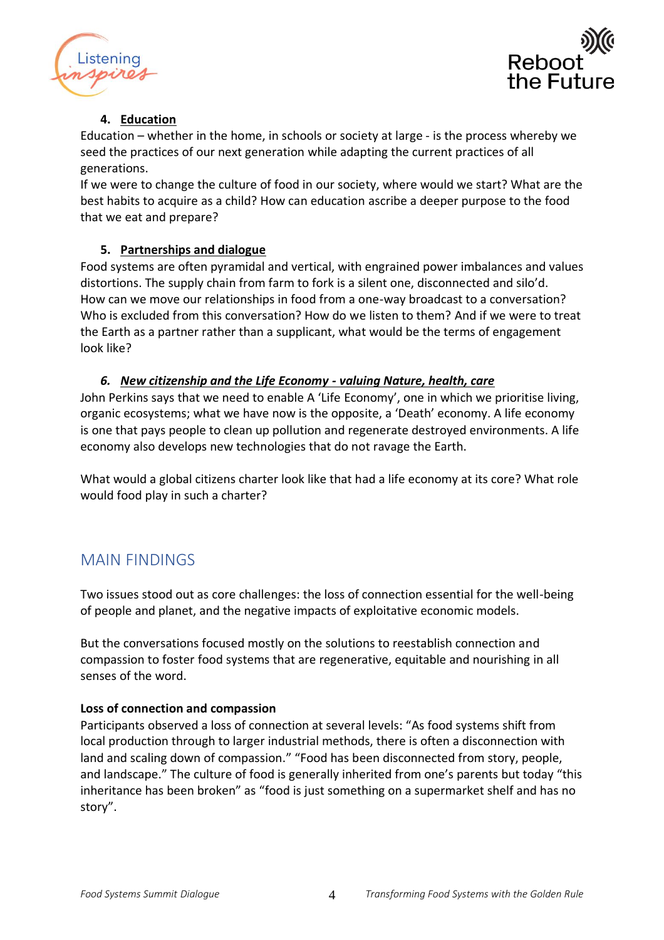



## **4. Education**

Education – whether in the home, in schools or society at large - is the process whereby we seed the practices of our next generation while adapting the current practices of all generations.

If we were to change the culture of food in our society, where would we start? What are the best habits to acquire as a child? How can education ascribe a deeper purpose to the food that we eat and prepare?

## **5. Partnerships and dialogue**

Food systems are often pyramidal and vertical, with engrained power imbalances and values distortions. The supply chain from farm to fork is a silent one, disconnected and silo'd. How can we move our relationships in food from a one-way broadcast to a conversation? Who is excluded from this conversation? How do we listen to them? And if we were to treat the Earth as a partner rather than a supplicant, what would be the terms of engagement look like?

## *6. New citizenship and the Life Economy - valuing Nature, health, care*

John Perkins says that we need to enable A 'Life Economy', one in which we prioritise living, organic ecosystems; what we have now is the opposite, a 'Death' economy. A life economy is one that pays people to clean up pollution and regenerate destroyed environments. A life economy also develops new technologies that do not ravage the Earth.

What would a global citizens charter look like that had a life economy at its core? What role would food play in such a charter?

## <span id="page-3-0"></span>MAIN FINDINGS

Two issues stood out as core challenges: the loss of connection essential for the well-being of people and planet, and the negative impacts of exploitative economic models.

But the conversations focused mostly on the solutions to reestablish connection and compassion to foster food systems that are regenerative, equitable and nourishing in all senses of the word.

## **Loss of connection and compassion**

Participants observed a loss of connection at several levels: "As food systems shift from local production through to larger industrial methods, there is often a disconnection with land and scaling down of compassion." "Food has been disconnected from story, people, and landscape." The culture of food is generally inherited from one's parents but today "this inheritance has been broken" as "food is just something on a supermarket shelf and has no story".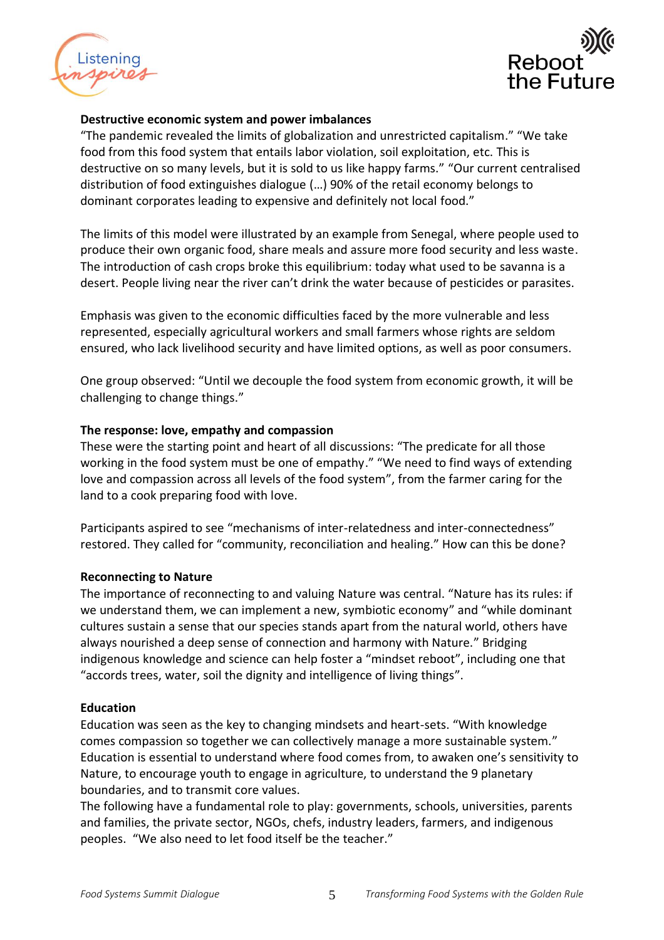



#### **Destructive economic system and power imbalances**

"The pandemic revealed the limits of globalization and unrestricted capitalism." "We take food from this food system that entails labor violation, soil exploitation, etc. This is destructive on so many levels, but it is sold to us like happy farms." "Our current centralised distribution of food extinguishes dialogue (…) 90% of the retail economy belongs to dominant corporates leading to expensive and definitely not local food."

The limits of this model were illustrated by an example from Senegal, where people used to produce their own organic food, share meals and assure more food security and less waste. The introduction of cash crops broke this equilibrium: today what used to be savanna is a desert. People living near the river can't drink the water because of pesticides or parasites.

Emphasis was given to the economic difficulties faced by the more vulnerable and less represented, especially agricultural workers and small farmers whose rights are seldom ensured, who lack livelihood security and have limited options, as well as poor consumers.

One group observed: "Until we decouple the food system from economic growth, it will be challenging to change things."

#### **The response: love, empathy and compassion**

These were the starting point and heart of all discussions: "The predicate for all those working in the food system must be one of empathy." "We need to find ways of extending love and compassion across all levels of the food system", from the farmer caring for the land to a cook preparing food with love.

Participants aspired to see "mechanisms of inter-relatedness and inter-connectedness" restored. They called for "community, reconciliation and healing." How can this be done?

#### **Reconnecting to Nature**

The importance of reconnecting to and valuing Nature was central. "Nature has its rules: if we understand them, we can implement a new, symbiotic economy" and "while dominant cultures sustain a sense that our species stands apart from the natural world, others have always nourished a deep sense of connection and harmony with Nature." Bridging indigenous knowledge and science can help foster a "mindset reboot", including one that "accords trees, water, soil the dignity and intelligence of living things".

#### **Education**

Education was seen as the key to changing mindsets and heart-sets. "With knowledge comes compassion so together we can collectively manage a more sustainable system." Education is essential to understand where food comes from, to awaken one's sensitivity to Nature, to encourage youth to engage in agriculture, to understand the 9 planetary boundaries, and to transmit core values.

The following have a fundamental role to play: governments, schools, universities, parents and families, the private sector, NGOs, chefs, industry leaders, farmers, and indigenous peoples. "We also need to let food itself be the teacher."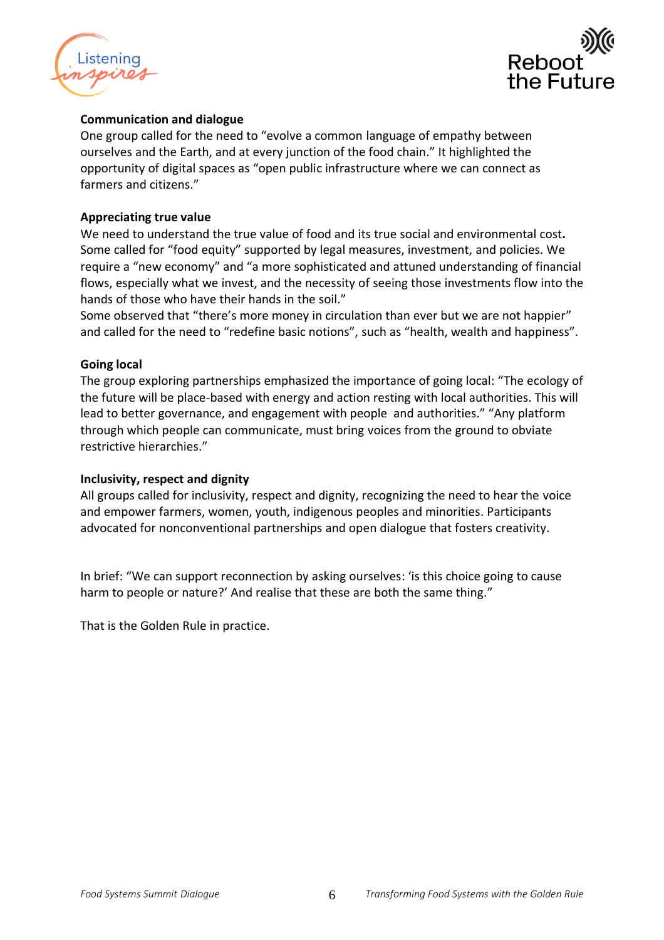



#### **Communication and dialogue**

One group called for the need to "evolve a common language of empathy between ourselves and the Earth, and at every junction of the food chain." It highlighted the opportunity of digital spaces as "open public infrastructure where we can connect as farmers and citizens."

#### **Appreciating true value**

We need to understand the true value of food and its true social and environmental cost**.**  Some called for "food equity" supported by legal measures, investment, and policies. We require a "new economy" and "a more sophisticated and attuned understanding of financial flows, especially what we invest, and the necessity of seeing those investments flow into the hands of those who have their hands in the soil."

Some observed that "there's more money in circulation than ever but we are not happier" and called for the need to "redefine basic notions", such as "health, wealth and happiness".

#### **Going local**

The group exploring partnerships emphasized the importance of going local: "The ecology of the future will be place-based with energy and action resting with local authorities. This will lead to better governance, and engagement with people and authorities." "Any platform through which people can communicate, must bring voices from the ground to obviate restrictive hierarchies."

#### **Inclusivity, respect and dignity**

All groups called for inclusivity, respect and dignity, recognizing the need to hear the voice and empower farmers, women, youth, indigenous peoples and minorities. Participants advocated for nonconventional partnerships and open dialogue that fosters creativity.

In brief: "We can support reconnection by asking ourselves: 'is this choice going to cause harm to people or nature?' And realise that these are both the same thing."

That is the Golden Rule in practice.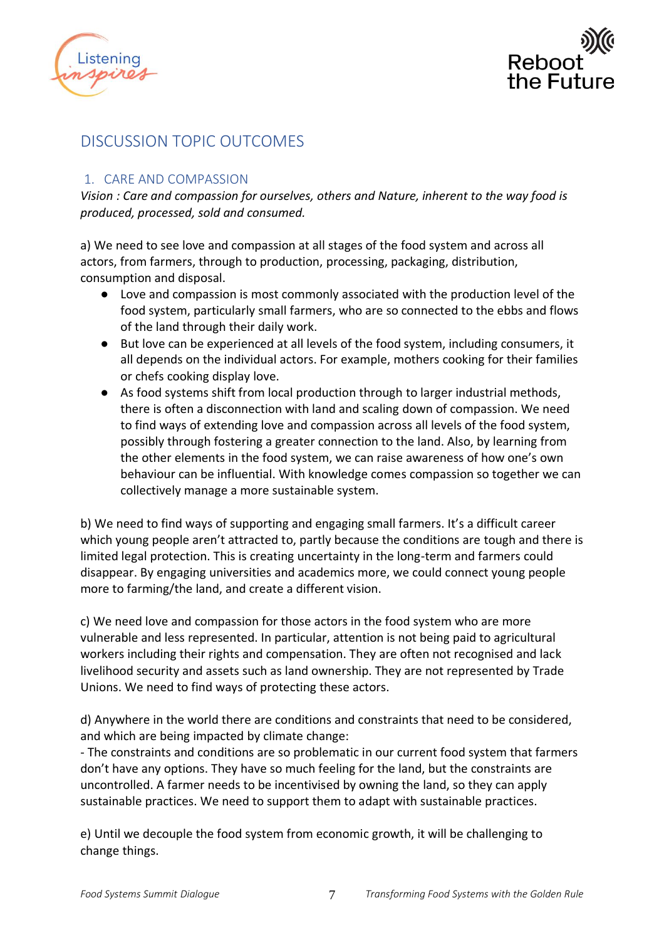



## <span id="page-6-0"></span>DISCUSSION TOPIC OUTCOMES

## <span id="page-6-1"></span>1. CARE AND COMPASSION

*Vision : Care and compassion for ourselves, others and Nature, inherent to the way food is produced, processed, sold and consumed.* 

a) We need to see love and compassion at all stages of the food system and across all actors, from farmers, through to production, processing, packaging, distribution, consumption and disposal.

- Love and compassion is most commonly associated with the production level of the food system, particularly small farmers, who are so connected to the ebbs and flows of the land through their daily work.
- But love can be experienced at all levels of the food system, including consumers, it all depends on the individual actors. For example, mothers cooking for their families or chefs cooking display love.
- As food systems shift from local production through to larger industrial methods, there is often a disconnection with land and scaling down of compassion. We need to find ways of extending love and compassion across all levels of the food system, possibly through fostering a greater connection to the land. Also, by learning from the other elements in the food system, we can raise awareness of how one's own behaviour can be influential. With knowledge comes compassion so together we can collectively manage a more sustainable system.

b) We need to find ways of supporting and engaging small farmers. It's a difficult career which young people aren't attracted to, partly because the conditions are tough and there is limited legal protection. This is creating uncertainty in the long-term and farmers could disappear. By engaging universities and academics more, we could connect young people more to farming/the land, and create a different vision.

c) We need love and compassion for those actors in the food system who are more vulnerable and less represented. In particular, attention is not being paid to agricultural workers including their rights and compensation. They are often not recognised and lack livelihood security and assets such as land ownership. They are not represented by Trade Unions. We need to find ways of protecting these actors.

d) Anywhere in the world there are conditions and constraints that need to be considered, and which are being impacted by climate change:

- The constraints and conditions are so problematic in our current food system that farmers don't have any options. They have so much feeling for the land, but the constraints are uncontrolled. A farmer needs to be incentivised by owning the land, so they can apply sustainable practices. We need to support them to adapt with sustainable practices.

e) Until we decouple the food system from economic growth, it will be challenging to change things.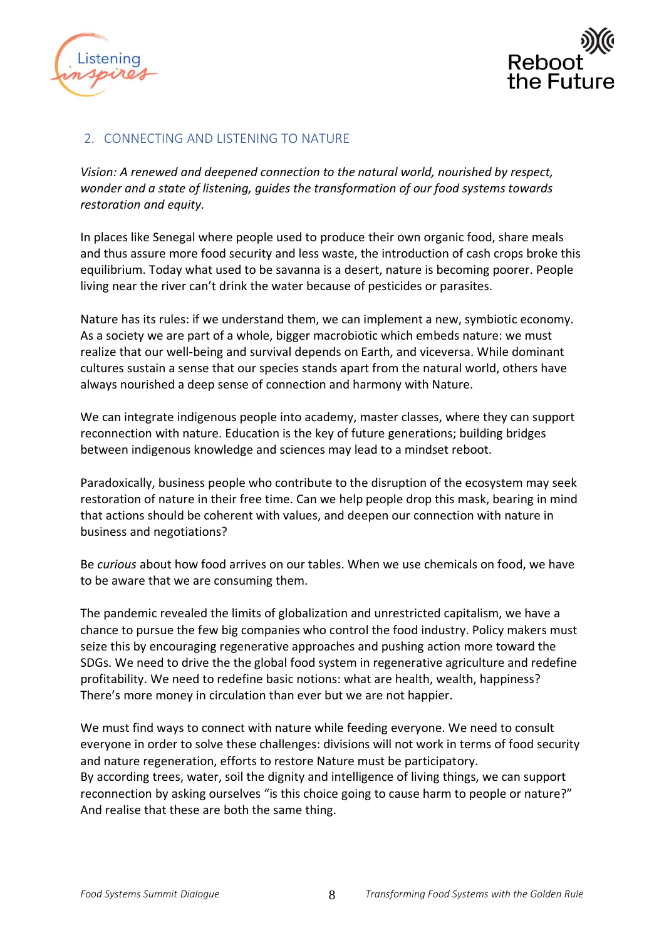



## <span id="page-7-0"></span>2. CONNECTING AND LISTENING TO NATURE

*Vision: A renewed and deepened connection to the natural world, nourished by respect, wonder and a state of listening, guides the transformation of our food systems towards restoration and equity.*

In places like Senegal where people used to produce their own organic food, share meals and thus assure more food security and less waste, the introduction of cash crops broke this equilibrium. Today what used to be savanna is a desert, nature is becoming poorer. People living near the river can't drink the water because of pesticides or parasites.

Nature has its rules: if we understand them, we can implement a new, symbiotic economy. As a society we are part of a whole, bigger macrobiotic which embeds nature: we must realize that our well-being and survival depends on Earth, and viceversa. While dominant cultures sustain a sense that our species stands apart from the natural world, others have always nourished a deep sense of connection and harmony with Nature.

We can integrate indigenous people into academy, master classes, where they can support reconnection with nature. Education is the key of future generations; building bridges between indigenous knowledge and sciences may lead to a mindset reboot.

Paradoxically, business people who contribute to the disruption of the ecosystem may seek restoration of nature in their free time. Can we help people drop this mask, bearing in mind that actions should be coherent with values, and deepen our connection with nature in business and negotiations?

Be *curious* about how food arrives on our tables. When we use chemicals on food, we have to be aware that we are consuming them.

The pandemic revealed the limits of globalization and unrestricted capitalism, we have a chance to pursue the few big companies who control the food industry. Policy makers must seize this by encouraging regenerative approaches and pushing action more toward the SDGs. We need to drive the the global food system in regenerative agriculture and redefine profitability. We need to redefine basic notions: what are health, wealth, happiness? There's more money in circulation than ever but we are not happier.

We must find ways to connect with nature while feeding everyone. We need to consult everyone in order to solve these challenges: divisions will not work in terms of food security and nature regeneration, efforts to restore Nature must be participatory. By according trees, water, soil the dignity and intelligence of living things, we can support reconnection by asking ourselves "is this choice going to cause harm to people or nature?" And realise that these are both the same thing.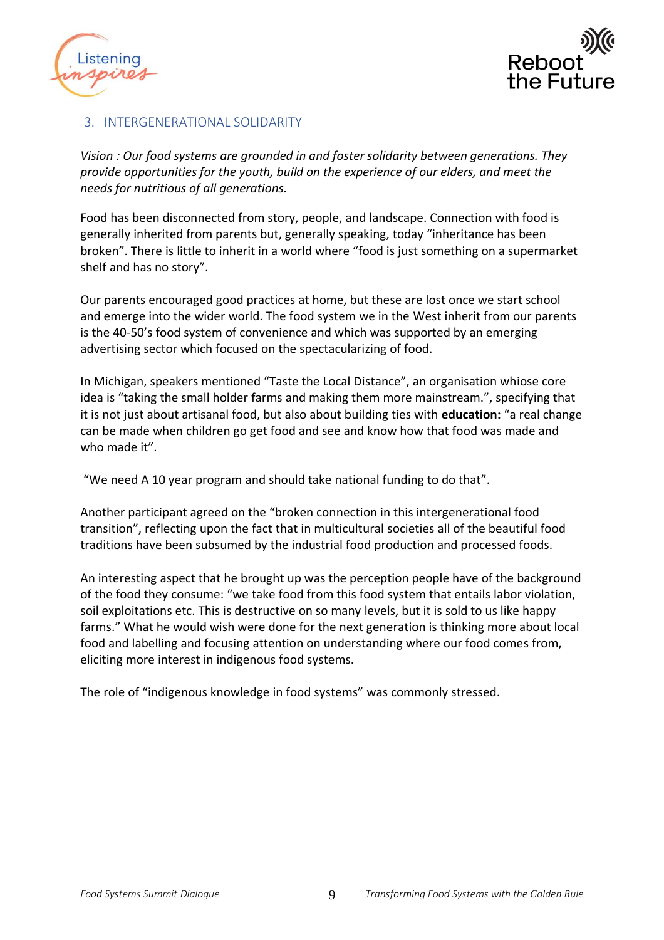



### <span id="page-8-0"></span>3. INTERGENERATIONAL SOLIDARITY

*Vision : Our food systems are grounded in and foster solidarity between generations. They provide opportunities for the youth, build on the experience of our elders, and meet the needs for nutritious of all generations.* 

Food has been disconnected from story, people, and landscape. Connection with food is generally inherited from parents but, generally speaking, today "inheritance has been broken". There is little to inherit in a world where "food is just something on a supermarket shelf and has no story".

Our parents encouraged good practices at home, but these are lost once we start school and emerge into the wider world. The food system we in the West inherit from our parents is the 40-50's food system of convenience and which was supported by an emerging advertising sector which focused on the spectacularizing of food.

In Michigan, speakers mentioned "Taste the Local Distance", an organisation whiose core idea is "taking the small holder farms and making them more mainstream.", specifying that it is not just about artisanal food, but also about building ties with **education:** "a real change can be made when children go get food and see and know how that food was made and who made it".

"We need A 10 year program and should take national funding to do that".

Another participant agreed on the "broken connection in this intergenerational food transition", reflecting upon the fact that in multicultural societies all of the beautiful food traditions have been subsumed by the industrial food production and processed foods.

An interesting aspect that he brought up was the perception people have of the background of the food they consume: "we take food from this food system that entails labor violation, soil exploitations etc. This is destructive on so many levels, but it is sold to us like happy farms." What he would wish were done for the next generation is thinking more about local food and labelling and focusing attention on understanding where our food comes from, eliciting more interest in indigenous food systems.

The role of "indigenous knowledge in food systems" was commonly stressed.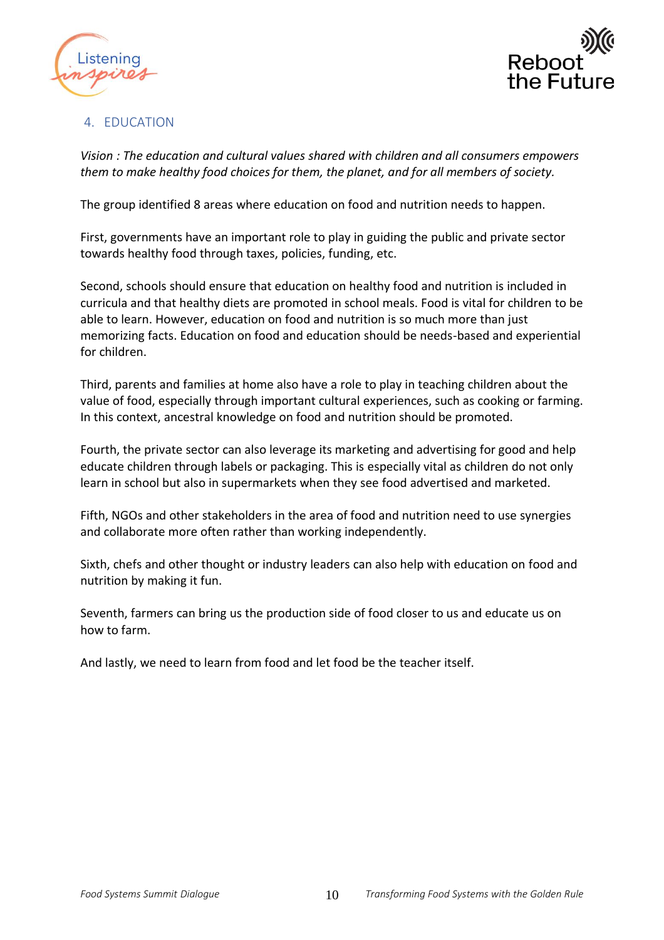



### <span id="page-9-0"></span>4. EDUCATION

*Vision : The education and cultural values shared with children and all consumers empowers them to make healthy food choices for them, the planet, and for all members of society.*

The group identified 8 areas where education on food and nutrition needs to happen.

First, governments have an important role to play in guiding the public and private sector towards healthy food through taxes, policies, funding, etc.

Second, schools should ensure that education on healthy food and nutrition is included in curricula and that healthy diets are promoted in school meals. Food is vital for children to be able to learn. However, education on food and nutrition is so much more than just memorizing facts. Education on food and education should be needs-based and experiential for children.

Third, parents and families at home also have a role to play in teaching children about the value of food, especially through important cultural experiences, such as cooking or farming. In this context, ancestral knowledge on food and nutrition should be promoted.

Fourth, the private sector can also leverage its marketing and advertising for good and help educate children through labels or packaging. This is especially vital as children do not only learn in school but also in supermarkets when they see food advertised and marketed.

Fifth, NGOs and other stakeholders in the area of food and nutrition need to use synergies and collaborate more often rather than working independently.

Sixth, chefs and other thought or industry leaders can also help with education on food and nutrition by making it fun.

Seventh, farmers can bring us the production side of food closer to us and educate us on how to farm.

And lastly, we need to learn from food and let food be the teacher itself.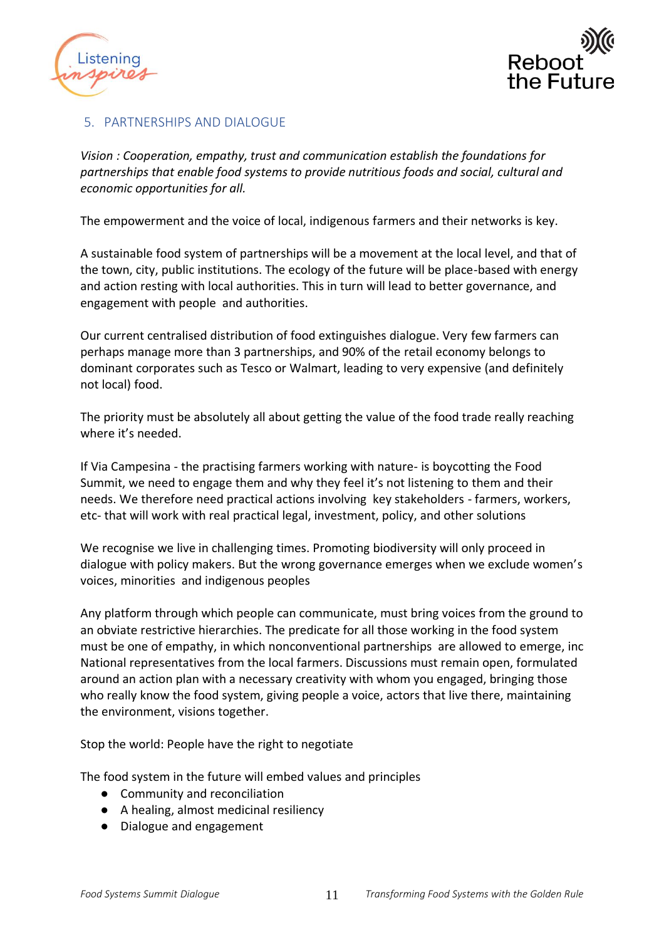



## <span id="page-10-0"></span>5. PARTNERSHIPS AND DIALOGUE

*Vision : Cooperation, empathy, trust and communication establish the foundations for partnerships that enable food systems to provide nutritious foods and social, cultural and economic opportunities for all.* 

The empowerment and the voice of local, indigenous farmers and their networks is key.

A sustainable food system of partnerships will be a movement at the local level, and that of the town, city, public institutions. The ecology of the future will be place-based with energy and action resting with local authorities. This in turn will lead to better governance, and engagement with people and authorities.

Our current centralised distribution of food extinguishes dialogue. Very few farmers can perhaps manage more than 3 partnerships, and 90% of the retail economy belongs to dominant corporates such as Tesco or Walmart, leading to very expensive (and definitely not local) food.

The priority must be absolutely all about getting the value of the food trade really reaching where it's needed.

If Via Campesina - the practising farmers working with nature- is boycotting the Food Summit, we need to engage them and why they feel it's not listening to them and their needs. We therefore need practical actions involving key stakeholders - farmers, workers, etc- that will work with real practical legal, investment, policy, and other solutions

We recognise we live in challenging times. Promoting biodiversity will only proceed in dialogue with policy makers. But the wrong governance emerges when we exclude women's voices, minorities and indigenous peoples

Any platform through which people can communicate, must bring voices from the ground to an obviate restrictive hierarchies. The predicate for all those working in the food system must be one of empathy, in which nonconventional partnerships are allowed to emerge, inc National representatives from the local farmers. Discussions must remain open, formulated around an action plan with a necessary creativity with whom you engaged, bringing those who really know the food system, giving people a voice, actors that live there, maintaining the environment, visions together.

Stop the world: People have the right to negotiate

The food system in the future will embed values and principles

- Community and reconciliation
- A healing, almost medicinal resiliency
- Dialogue and engagement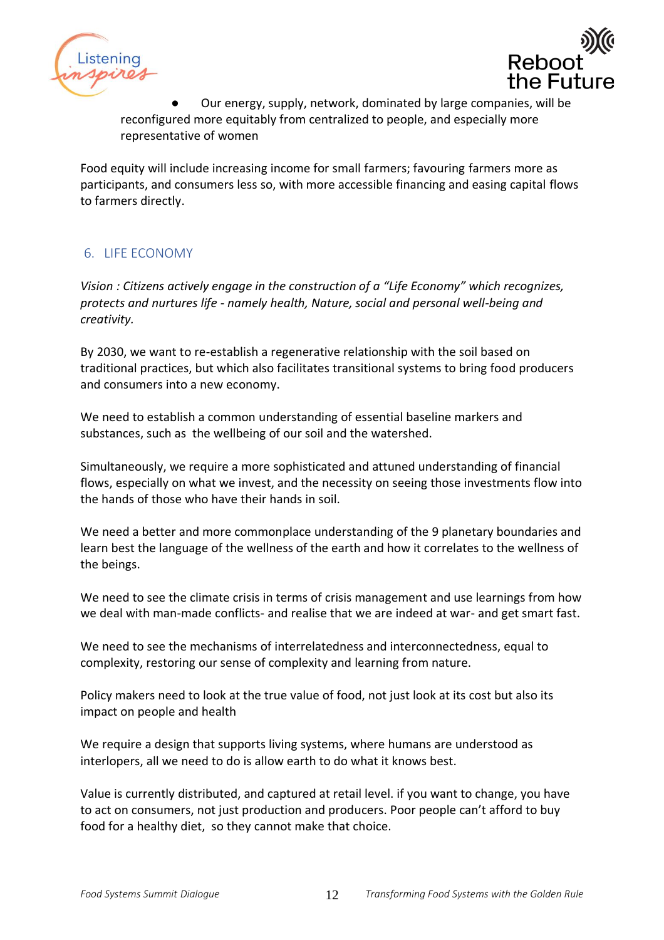



Our energy, supply, network, dominated by large companies, will be reconfigured more equitably from centralized to people, and especially more representative of women

Food equity will include increasing income for small farmers; favouring farmers more as participants, and consumers less so, with more accessible financing and easing capital flows to farmers directly.

## <span id="page-11-0"></span>6. LIFE ECONOMY

*Vision : Citizens actively engage in the construction of a "Life Economy" which recognizes, protects and nurtures life - namely health, Nature, social and personal well-being and creativity.* 

By 2030, we want to re-establish a regenerative relationship with the soil based on traditional practices, but which also facilitates transitional systems to bring food producers and consumers into a new economy.

We need to establish a common understanding of essential baseline markers and substances, such as the wellbeing of our soil and the watershed.

Simultaneously, we require a more sophisticated and attuned understanding of financial flows, especially on what we invest, and the necessity on seeing those investments flow into the hands of those who have their hands in soil.

We need a better and more commonplace understanding of the 9 planetary boundaries and learn best the language of the wellness of the earth and how it correlates to the wellness of the beings.

We need to see the climate crisis in terms of crisis management and use learnings from how we deal with man-made conflicts- and realise that we are indeed at war- and get smart fast.

We need to see the mechanisms of interrelatedness and interconnectedness, equal to complexity, restoring our sense of complexity and learning from nature.

Policy makers need to look at the true value of food, not just look at its cost but also its impact on people and health

We require a design that supports living systems, where humans are understood as interlopers, all we need to do is allow earth to do what it knows best.

Value is currently distributed, and captured at retail level. if you want to change, you have to act on consumers, not just production and producers. Poor people can't afford to buy food for a healthy diet, so they cannot make that choice.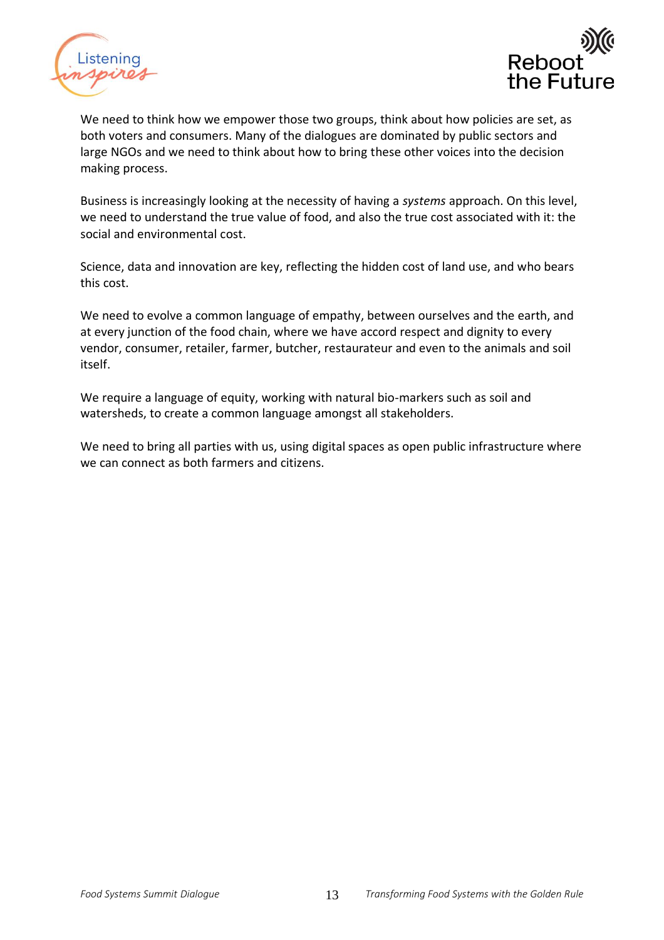



We need to think how we empower those two groups, think about how policies are set, as both voters and consumers. Many of the dialogues are dominated by public sectors and large NGOs and we need to think about how to bring these other voices into the decision making process.

Business is increasingly looking at the necessity of having a *systems* approach. On this level, we need to understand the true value of food, and also the true cost associated with it: the social and environmental cost.

Science, data and innovation are key, reflecting the hidden cost of land use, and who bears this cost.

We need to evolve a common language of empathy, between ourselves and the earth, and at every junction of the food chain, where we have accord respect and dignity to every vendor, consumer, retailer, farmer, butcher, restaurateur and even to the animals and soil itself.

We require a language of equity, working with natural bio-markers such as soil and watersheds, to create a common language amongst all stakeholders.

We need to bring all parties with us, using digital spaces as open public infrastructure where we can connect as both farmers and citizens.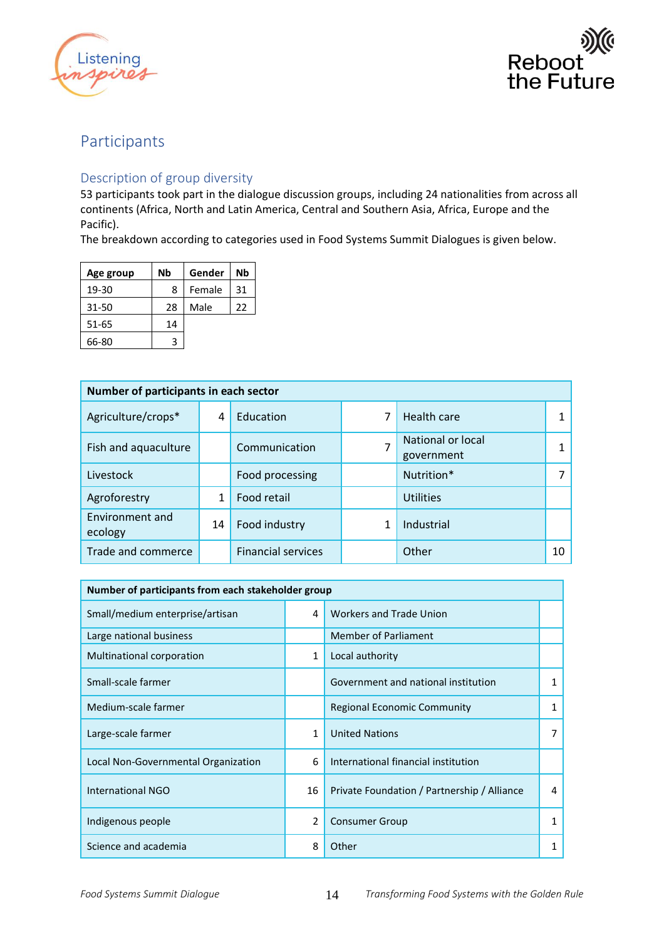



## <span id="page-13-0"></span>Participants

### <span id="page-13-1"></span>Description of group diversity

53 participants took part in the dialogue discussion groups, including 24 nationalities from across all continents (Africa, North and Latin America, Central and Southern Asia, Africa, Europe and the Pacific).

The breakdown according to categories used in Food Systems Summit Dialogues is given below.

| Age group | Nb | Gender | Nb |
|-----------|----|--------|----|
| 19-30     | 8  | Female | 31 |
| 31-50     | 28 | Male   | 22 |
| 51-65     | 14 |        |    |
| 66-80     | 3  |        |    |

| Number of participants in each sector |    |                           |   |                                 |    |
|---------------------------------------|----|---------------------------|---|---------------------------------|----|
| Agriculture/crops*                    | 4  | Education                 | 7 | <b>Health care</b>              |    |
| Fish and aquaculture                  |    | Communication             | 7 | National or local<br>government |    |
| Livestock                             |    | Food processing           |   | Nutrition*                      |    |
| Agroforestry                          | 1  | Food retail               |   | <b>Utilities</b>                |    |
| Environment and<br>ecology            | 14 | Food industry             |   | Industrial                      |    |
| Trade and commerce                    |    | <b>Financial services</b> |   | Other                           | 10 |

| Number of participants from each stakeholder group |                |                                             |   |  |  |
|----------------------------------------------------|----------------|---------------------------------------------|---|--|--|
| Small/medium enterprise/artisan                    | 4              | <b>Workers and Trade Union</b>              |   |  |  |
| Large national business                            |                | <b>Member of Parliament</b>                 |   |  |  |
| Multinational corporation                          | 1              | Local authority                             |   |  |  |
| Small-scale farmer                                 |                | Government and national institution         |   |  |  |
| Medium-scale farmer                                |                | <b>Regional Economic Community</b>          |   |  |  |
| Large-scale farmer                                 | 1              | <b>United Nations</b>                       | 7 |  |  |
| Local Non-Governmental Organization                | 6              | International financial institution         |   |  |  |
| <b>International NGO</b>                           | 16             | Private Foundation / Partnership / Alliance | 4 |  |  |
| Indigenous people                                  | $\overline{2}$ | <b>Consumer Group</b>                       |   |  |  |
| Science and academia                               | 8              | Other                                       |   |  |  |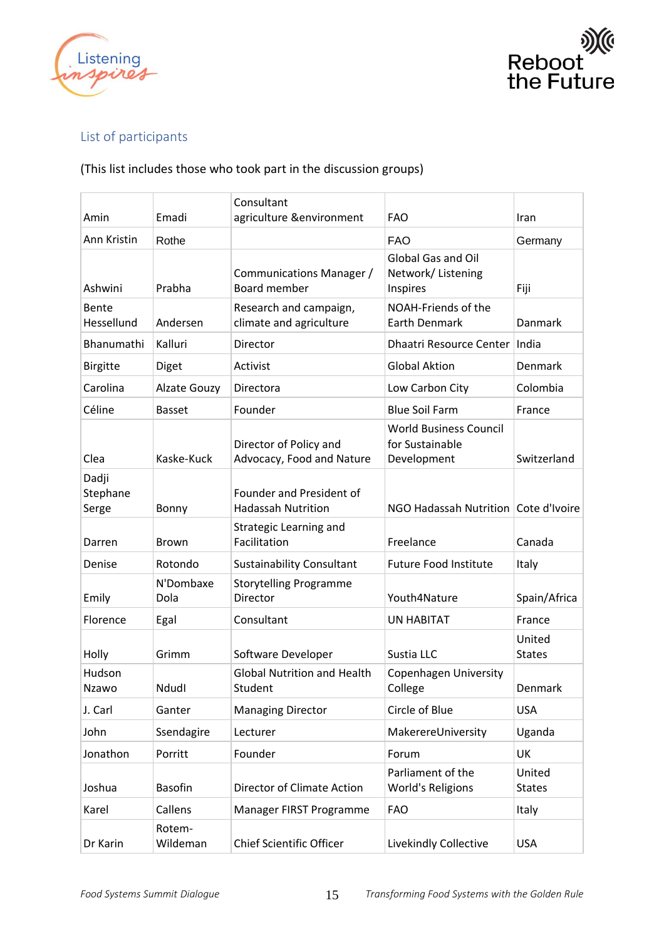



## <span id="page-14-0"></span>List of participants

## (This list includes those who took part in the discussion groups)

|                            |                     | Consultant                                            |                                                                 |                         |
|----------------------------|---------------------|-------------------------------------------------------|-----------------------------------------------------------------|-------------------------|
| Amin                       | Emadi               | agriculture &environment                              | <b>FAO</b>                                                      | Iran                    |
| Ann Kristin                | Rothe               |                                                       | <b>FAO</b>                                                      | Germany                 |
| Ashwini                    | Prabha              | Communications Manager /<br>Board member              | <b>Global Gas and Oil</b><br>Network/Listening<br>Inspires      | Fiji                    |
| Bente<br>Hessellund        | Andersen            | Research and campaign,<br>climate and agriculture     | NOAH-Friends of the<br><b>Earth Denmark</b>                     | Danmark                 |
| Bhanumathi                 | Kalluri             | Director                                              | <b>Dhaatri Resource Center</b>                                  | India                   |
| <b>Birgitte</b>            | Diget               | Activist                                              | <b>Global Aktion</b>                                            | Denmark                 |
| Carolina                   | <b>Alzate Gouzy</b> | Directora                                             | Low Carbon City                                                 | Colombia                |
| Céline                     | <b>Basset</b>       | Founder                                               | <b>Blue Soil Farm</b>                                           | France                  |
| Clea                       | Kaske-Kuck          | Director of Policy and<br>Advocacy, Food and Nature   | <b>World Business Council</b><br>for Sustainable<br>Development | Switzerland             |
| Dadji<br>Stephane<br>Serge | Bonny               | Founder and President of<br><b>Hadassah Nutrition</b> | NGO Hadassah Nutrition   Cote d'Ivoire                          |                         |
| Darren                     | <b>Brown</b>        | Strategic Learning and<br>Facilitation                | Freelance                                                       | Canada                  |
| Denise                     | Rotondo             | <b>Sustainability Consultant</b>                      | <b>Future Food Institute</b>                                    | Italy                   |
| Emily                      | N'Dombaxe<br>Dola   | <b>Storytelling Programme</b><br>Director             | Youth4Nature                                                    | Spain/Africa            |
| Florence                   | Egal                | Consultant                                            | <b>UN HABITAT</b>                                               | France                  |
| Holly                      | Grimm               | Software Developer                                    | Sustia LLC                                                      | United<br><b>States</b> |
| Hudson<br>Nzawo            | Ndudl               | <b>Global Nutrition and Health</b><br>Student         | Copenhagen University<br>College                                | Denmark                 |
| J. Carl                    | Ganter              | <b>Managing Director</b>                              | Circle of Blue                                                  | <b>USA</b>              |
| John                       | Ssendagire          | Lecturer                                              | MakerereUniversity                                              | Uganda                  |
| Jonathon                   | Porritt             | Founder                                               | Forum                                                           | UK                      |
| Joshua                     | <b>Basofin</b>      | Director of Climate Action                            | Parliament of the<br>World's Religions                          | United<br><b>States</b> |
| Karel                      | Callens             | Manager FIRST Programme                               | <b>FAO</b>                                                      | Italy                   |
| Dr Karin                   | Rotem-<br>Wildeman  | <b>Chief Scientific Officer</b>                       | Livekindly Collective                                           | <b>USA</b>              |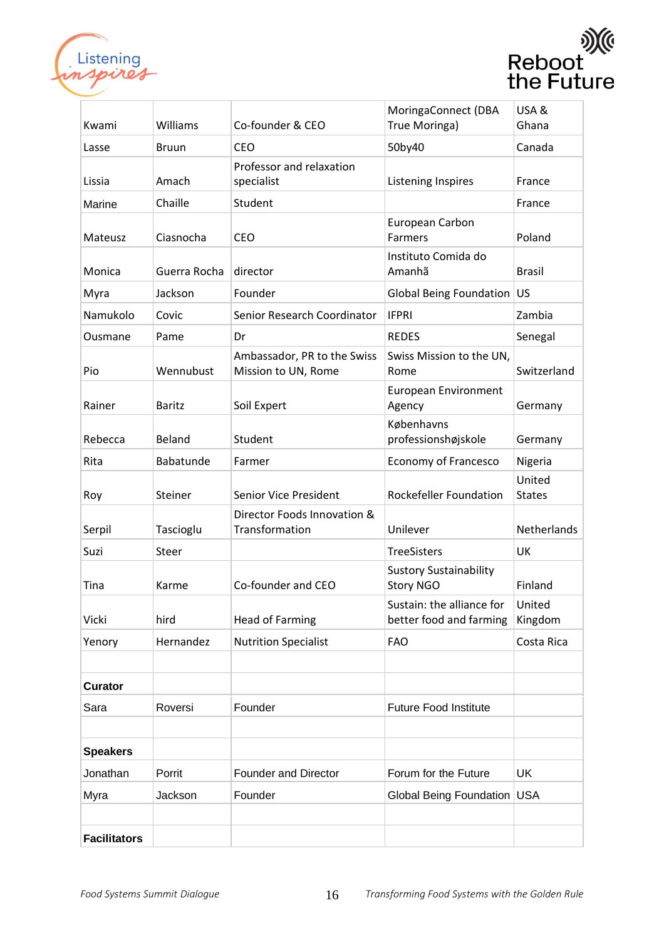



| Kwami               | Williams      | Co-founder & CEO                                   | MoringaConnect (DBA<br>True Moringa)                 | USA&<br>Ghana           |
|---------------------|---------------|----------------------------------------------------|------------------------------------------------------|-------------------------|
| Lasse               | <b>Bruun</b>  | <b>CEO</b>                                         | 50by40                                               | Canada                  |
| Lissia              | Amach         | Professor and relaxation<br>specialist             | Listening Inspires                                   | France                  |
| Marine              | Chaille       | Student                                            |                                                      | France                  |
| Mateusz             | Ciasnocha     | <b>CEO</b>                                         | European Carbon<br><b>Farmers</b>                    | Poland                  |
| Monica              | Guerra Rocha  | director                                           | Instituto Comida do<br>Amanhã                        | <b>Brasil</b>           |
| Myra                | Jackson       | Founder                                            | <b>Global Being Foundation</b>                       | US                      |
| Namukolo            | Covic         | Senior Research Coordinator                        | <b>IFPRI</b>                                         | Zambia                  |
| Ousmane             | Pame          | Dr                                                 | <b>REDES</b>                                         | Senegal                 |
| Pio                 | Wennubust     | Ambassador, PR to the Swiss<br>Mission to UN, Rome | Swiss Mission to the UN,<br>Rome                     | Switzerland             |
| Rainer              | <b>Baritz</b> | Soil Expert                                        | <b>European Environment</b><br>Agency                | Germany                 |
| Rebecca             | Beland        | Student                                            | Københavns<br>professionshøjskole                    | Germany                 |
| Rita                | Babatunde     | Farmer                                             | Economy of Francesco                                 | Nigeria                 |
| Roy                 | Steiner       | Senior Vice President                              | <b>Rockefeller Foundation</b>                        | United<br><b>States</b> |
| Serpil              | Tascioglu     | Director Foods Innovation &<br>Transformation      | Unilever                                             | Netherlands             |
| Suzi                | Steer         |                                                    | <b>TreeSisters</b>                                   | UK                      |
| Tina                | Karme         | Co-founder and CEO                                 | <b>Sustory Sustainability</b><br><b>Story NGO</b>    | Finland                 |
| Vicki               | hird          | <b>Head of Farming</b>                             | Sustain: the alliance for<br>better food and farming | United<br>Kingdom       |
| Yenory              | Hernandez     | <b>Nutrition Specialist</b>                        | <b>FAO</b>                                           | Costa Rica              |
|                     |               |                                                    |                                                      |                         |
| <b>Curator</b>      |               |                                                    |                                                      |                         |
| Sara                | Roversi       | Founder                                            | <b>Future Food Institute</b>                         |                         |
|                     |               |                                                    |                                                      |                         |
| <b>Speakers</b>     |               |                                                    |                                                      |                         |
| Jonathan            | Porrit        | <b>Founder and Director</b>                        | Forum for the Future                                 | UK                      |
| Myra                | Jackson       | Founder                                            | Global Being Foundation USA                          |                         |
|                     |               |                                                    |                                                      |                         |
| <b>Facilitators</b> |               |                                                    |                                                      |                         |